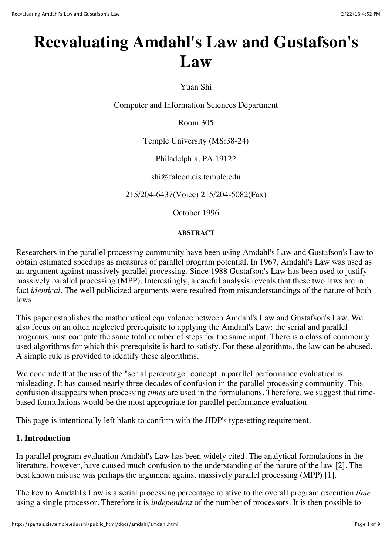# **Reevaluating Amdahl's Law and Gustafson's Law**

Yuan Shi

Computer and Information Sciences Department

Room 305

Temple University (MS:38-24)

Philadelphia, PA 19122

shi@falcon.cis.temple.edu

215/204-6437(Voice) 215/204-5082(Fax)

October 1996

#### **ABSTRACT**

Researchers in the parallel processing community have been using Amdahl's Law and Gustafson's Law to obtain estimated speedups as measures of parallel program potential. In 1967, Amdahl's Law was used as an argument against massively parallel processing. Since 1988 Gustafson's Law has been used to justify massively parallel processing (MPP). Interestingly, a careful analysis reveals that these two laws are in fact *identical*. The well publicized arguments were resulted from misunderstandings of the nature of both laws.

This paper establishes the mathematical equivalence between Amdahl's Law and Gustafson's Law. We also focus on an often neglected prerequisite to applying the Amdahl's Law: the serial and parallel programs must compute the same total number of steps for the same input. There is a class of commonly used algorithms for which this prerequisite is hard to satisfy. For these algorithms, the law can be abused. A simple rule is provided to identify these algorithms.

We conclude that the use of the "serial percentage" concept in parallel performance evaluation is misleading. It has caused nearly three decades of confusion in the parallel processing community. This confusion disappears when processing *times* are used in the formulations. Therefore, we suggest that timebased formulations would be the most appropriate for parallel performance evaluation.

This page is intentionally left blank to confirm with the JIDP's typesetting requirement.

### **1. Introduction**

In parallel program evaluation Amdahl's Law has been widely cited. The analytical formulations in the literature, however, have caused much confusion to the understanding of the nature of the law [2]. The best known misuse was perhaps the argument against massively parallel processing (MPP) [1].

The key to Amdahl's Law is a serial processing percentage relative to the overall program execution *time* using a single processor. Therefore it is *independent* of the number of processors. It is then possible to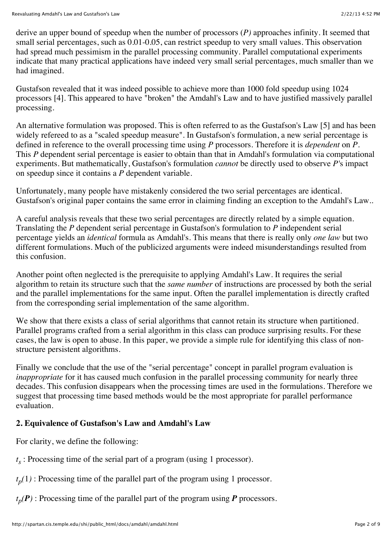derive an upper bound of speedup when the number of processors (*P)* approaches infinity. It seemed that small serial percentages, such as 0.01-0.05, can restrict speedup to very small values. This observation had spread much pessimism in the parallel processing community. Parallel computational experiments indicate that many practical applications have indeed very small serial percentages, much smaller than we had imagined.

Gustafson revealed that it was indeed possible to achieve more than 1000 fold speedup using 1024 processors [4]. This appeared to have "broken" the Amdahl's Law and to have justified massively parallel processing.

An alternative formulation was proposed. This is often referred to as the Gustafson's Law [5] and has been widely refereed to as a "scaled speedup measure". In Gustafson's formulation, a new serial percentage is defined in reference to the overall processing time using *P* processors. Therefore it is *dependent* on *P*. This *P* dependent serial percentage is easier to obtain than that in Amdahl's formulation via computational experiments. But mathematically, Gustafson's formulation *cannot* be directly used to observe *P'*s impact on speedup since it contains a *P* dependent variable.

Unfortunately, many people have mistakenly considered the two serial percentages are identical. Gustafson's original paper contains the same error in claiming finding an exception to the Amdahl's Law..

A careful analysis reveals that these two serial percentages are directly related by a simple equation. Translating the *P* dependent serial percentage in Gustafson's formulation to *P* independent serial percentage yields an *identical* formula as Amdahl's. This means that there is really only *one law* but two different formulations. Much of the publicized arguments were indeed misunderstandings resulted from this confusion.

Another point often neglected is the prerequisite to applying Amdahl's Law. It requires the serial algorithm to retain its structure such that the *same number* of instructions are processed by both the serial and the parallel implementations for the same input. Often the parallel implementation is directly crafted from the corresponding serial implementation of the same algorithm.

We show that there exists a class of serial algorithms that cannot retain its structure when partitioned. Parallel programs crafted from a serial algorithm in this class can produce surprising results. For these cases, the law is open to abuse. In this paper, we provide a simple rule for identifying this class of nonstructure persistent algorithms.

Finally we conclude that the use of the "serial percentage" concept in parallel program evaluation is *inappropriate* for it has caused much confusion in the parallel processing community for nearly three decades. This confusion disappears when the processing times are used in the formulations. Therefore we suggest that processing time based methods would be the most appropriate for parallel performance evaluation.

# **2. Equivalence of Gustafson's Law and Amdahl's Law**

For clarity, we define the following:

 $t<sub>s</sub>$ : Processing time of the serial part of a program (using 1 processor).

 $t_p(1)$ : Processing time of the parallel part of the program using 1 processor.

 $t_p(P)$ : Processing time of the parallel part of the program using *P* processors.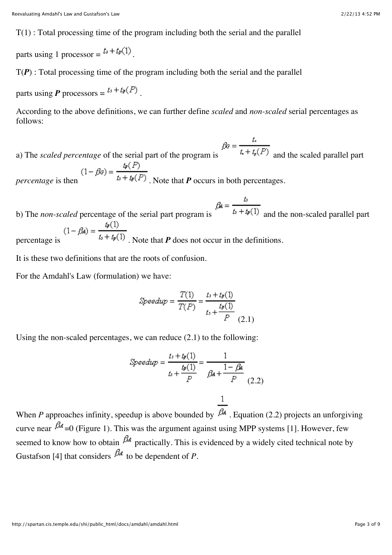$T(1)$ : Total processing time of the program including both the serial and the parallel

parts using 1 processor =  $t_s + t_p(1)$ .

 $T(P)$ : Total processing time of the program including both the serial and the parallel

parts using **P** processors =  $t_3 + t_1(P)$ .

According to the above definitions, we can further define *scaled* and *non-scaled* serial percentages as follows:

a) The *scaled percentage* of the serial part of the program is  $\beta \bar{s} = \frac{t}{t_s + t_p(P)}$  and the scaled parallel part  $p = \frac{t_{\mathcal{P}}(P)}{t_{\mathcal{P}} + t_{\mathcal{P}}(P)}$ . Note that *P* occurs in both percentages.

b) The *non-scaled* percentage of the serial part program is  $\beta A = \frac{t_s}{t_s + t_p(1)}$  and the non-scaled parallel part b) Inc....<br>
percentage is  $(1 - \beta A) = \frac{t_2(1)}{t_3 + t_2(1)}$ . Note that *P* does not occur in the definitions.

It is these two definitions that are the roots of confusion.

For the Amdahl's Law (formulation) we have:

$$
Speedup = \frac{T(1)}{T(P)} = \frac{t_s + t_p(1)}{t_s + \frac{t_p(1)}{P}}
$$
(2.1)

Using the non-scaled percentages, we can reduce (2.1) to the following:

$$
Speedup = \frac{t_3 + t_9(1)}{t_3 + \frac{t_9(1)}{P}} = \frac{1}{\beta A + \frac{1 - \beta A}{P}}
$$
(2.2)

When *P* approaches infinity, speedup is above bounded by  $\overline{BA}$ . Equation (2.2) projects an unforgiving curve near  $\beta_4 = 0$  (Figure 1). This was the argument against using MPP systems [1]. However, few seemed to know how to obtain  $\beta$ <sup>d</sup> practically. This is evidenced by a widely cited technical note by Gustafson [4] that considers  $\beta_A$  to be dependent of *P*.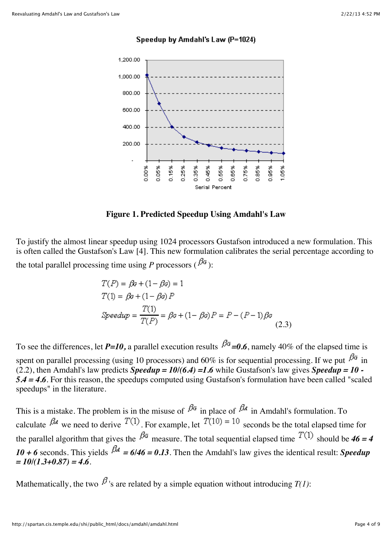#### Speedup by Amdahl's Law (P=1024)



**Figure 1. Predicted Speedup Using Amdahl's Law**

To justify the almost linear speedup using 1024 processors Gustafson introduced a new formulation. This is often called the Gustafson's Law [4]. This new formulation calibrates the serial percentage according to the total parallel processing time using *P* processors ( $\beta^2$ ):

$$
T(P) = \beta \sigma + (1 - \beta \sigma) = 1
$$
  
\n
$$
T(1) = \beta \sigma + (1 - \beta \sigma) P
$$
  
\n
$$
Speedup = \frac{T(1)}{T(P)} = \beta \sigma + (1 - \beta \sigma) P = P - (P - 1)\beta \sigma
$$
\n(2.3)

To see the differences, let  $P=10$ , a parallel execution results  $\beta^{\alpha} = 0.6$ , namely 40% of the elapsed time is spent on parallel processing (using 10 processors) and 60% is for sequential processing. If we put  $\beta^{\alpha}$  in (2.2), then Amdahl's law predicts *Speedup = 10/(6.4) =1.6* while Gustafson's law gives *Speedup = 10 - 5.4 = 4.6*. For this reason, the speedups computed using Gustafson's formulation have been called "scaled speedups" in the literature.

This is a mistake. The problem is in the misuse of  $\beta^{\alpha}$  in place of  $\beta^{\alpha}$  in Amdahl's formulation. To calculate  $\beta_A$  we need to derive  $T(1)$ . For example, let  $T(10) = 10$  seconds be the total elapsed time for the parallel algorithm that gives the  $\beta^G$  measure. The total sequential elapsed time  $T(1)$  should be  $46 = 4$ 10 + 6 seconds. This yields  $\beta A = 6/46 = 0.13$ . Then the Amdahl's law gives the identical result: *Speedup = 10/(1.3+0.87) = 4.6*.

Mathematically, the two  $\beta$ <sup>'</sup>s are related by a simple equation without introducing *T*(1):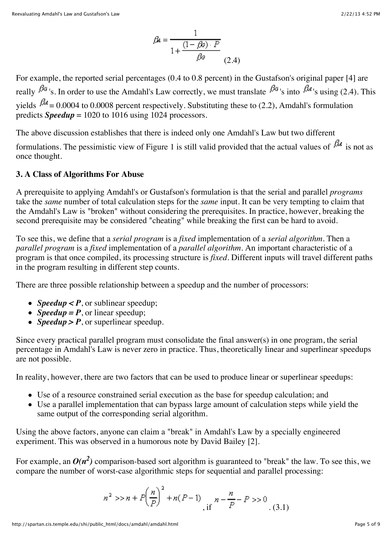$$
\beta A = \frac{1}{1 + \frac{(1 - \beta \sigma) \cdot P}{\beta \sigma}}
$$
\n(2.4)

For example, the reported serial percentages (0.4 to 0.8 percent) in the Gustafson's original paper [4] are really  $\beta^{\alpha}$ 's. In order to use the Amdahl's Law correctly, we must translate  $\beta^{\alpha}$ 's into  $\beta^{\alpha}$ 's using (2.4). This yields  $\beta_4 = 0.0004$  to 0.0008 percent respectively. Substituting these to (2.2), Amdahl's formulation predicts *Speedup* = 1020 to 1016 using 1024 processors.

The above discussion establishes that there is indeed only one Amdahl's Law but two different

formulations. The pessimistic view of Figure 1 is still valid provided that the actual values of  $\beta_A$  is not as once thought.

#### **3. A Class of Algorithms For Abuse**

A prerequisite to applying Amdahl's or Gustafson's formulation is that the serial and parallel *programs* take the *same* number of total calculation steps for the *same* input. It can be very tempting to claim that the Amdahl's Law is "broken" without considering the prerequisites. In practice, however, breaking the second prerequisite may be considered "cheating" while breaking the first can be hard to avoid.

To see this, we define that a *serial program* is a *fixed* implementation of a *serial algorithm*. Then a *parallel program* is a *fixed* implementation of a *parallel algorithm*. An important characteristic of a program is that once compiled, its processing structure is *fixed*. Different inputs will travel different paths in the program resulting in different step counts.

There are three possible relationship between a speedup and the number of processors:

- *Speedup* < *P*, or sublinear speedup;
- *Speedup* =  $P$ , or linear speedup;
- *Speedup* > *P*, or superlinear speedup.

Since every practical parallel program must consolidate the final answer(s) in one program, the serial percentage in Amdahl's Law is never zero in practice. Thus, theoretically linear and superlinear speedups are not possible.

In reality, however, there are two factors that can be used to produce linear or superlinear speedups:

- Use of a resource constrained serial execution as the base for speedup calculation; and
- Use a parallel implementation that can bypass large amount of calculation steps while yield the same output of the corresponding serial algorithm.

Using the above factors, anyone can claim a "break" in Amdahl's Law by a specially engineered experiment. This was observed in a humorous note by David Bailey [2].

For example, an  $O(n^2)$  comparison-based sort algorithm is guaranteed to "break" the law. To see this, we compare the number of worst-case algorithmic steps for sequential and parallel processing:

$$
n^{2} >> n + P\left(\frac{n}{P}\right)^{2} + n(P-1) \prod_{\text{if } n = \frac{n}{P} - P} \gg 0 \tag{3.1}
$$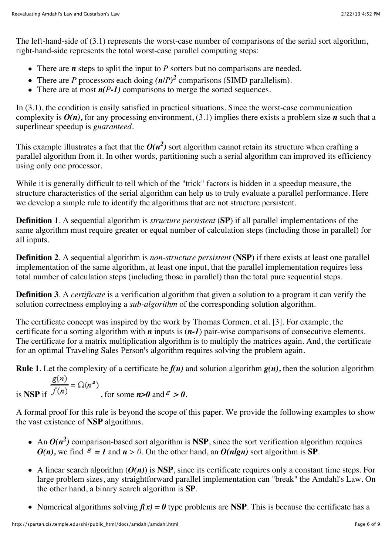The left-hand-side of (3.1) represents the worst-case number of comparisons of the serial sort algorithm, right-hand-side represents the total worst-case parallel computing steps:

- There are *n* steps to split the input to *P* sorters but no comparisons are needed.
- There are *P* processors each doing *(n/P) <sup>2</sup>* comparisons (SIMD parallelism).
- There are at most  $n(P-1)$  comparisons to merge the sorted sequences.

In (3.1), the condition is easily satisfied in practical situations. Since the worst-case communication complexity is  $O(n)$ , for any processing environment, (3.1) implies there exists a problem size *n* such that a superlinear speedup is *guaranteed*.

This example illustrates a fact that the  $O(n^2)$  sort algorithm cannot retain its structure when crafting a parallel algorithm from it. In other words, partitioning such a serial algorithm can improved its efficiency using only one processor.

While it is generally difficult to tell which of the "trick" factors is hidden in a speedup measure, the structure characteristics of the serial algorithm can help us to truly evaluate a parallel performance. Here we develop a simple rule to identify the algorithms that are not structure persistent.

**Definition 1**. A sequential algorithm is *structure persistent* (**SP**) if all parallel implementations of the same algorithm must require greater or equal number of calculation steps (including those in parallel) for all inputs.

**Definition 2**. A sequential algorithm is *non-structure persistent* (**NSP**) if there exists at least one parallel implementation of the same algorithm, at least one input, that the parallel implementation requires less total number of calculation steps (including those in parallel) than the total pure sequential steps.

**Definition 3**. A *certificate* is a verification algorithm that given a solution to a program it can verify the solution correctness employing a *sub-algorithm* of the corresponding solution algorithm.

The certificate concept was inspired by the work by Thomas Cormen, et al. [3]. For example, the certificate for a sorting algorithm with *n* inputs is (*n-1*) pair-wise comparisons of consecutive elements. The certificate for a matrix multiplication algorithm is to multiply the matrices again. And, the certificate for an optimal Traveling Sales Person's algorithm requires solving the problem again.

**Rule 1**. Let the complexity of a certificate be  $f(n)$  and solution algorithm  $g(n)$ , then the solution algorithm

is **NSP** if  $\frac{g(n)}{f(n)} = \Omega(n^2)$ , for some *n***>0** and *=* **> 0**.

A formal proof for this rule is beyond the scope of this paper. We provide the following examples to show the vast existence of **NSP** algorithms.

- An  $O(n^2)$  comparison-based sort algorithm is **NSP**, since the sort verification algorithm requires  $O(n)$ , we find  $\overline{F} = I$  and  $n > 0$ . On the other hand, an  $O(n \lg n)$  sort algorithm is SP.
- A linear search algorithm  $(O(n))$  is **NSP**, since its certificate requires only a constant time steps. For large problem sizes, any straightforward parallel implementation can "break" the Amdahl's Law. On the other hand, a binary search algorithm is **SP**.
- Numerical algorithms solving  $f(x) = 0$  type problems are **NSP**. This is because the certificate has a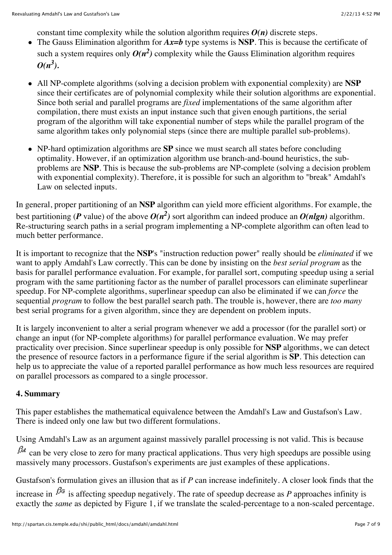constant time complexity while the solution algorithm requires  $O(n)$  discrete steps.

- The Gauss Elimination algorithm for *Ax=b* type systems is **NSP**. This is because the certificate of such a system requires only  $O(n^2)$  complexity while the Gauss Elimination algorithm requires  $O(n^3)$ .
- All NP-complete algorithms (solving a decision problem with exponential complexity) are **NSP** since their certificates are of polynomial complexity while their solution algorithms are exponential. Since both serial and parallel programs are *fixed* implementations of the same algorithm after compilation, there must exists an input instance such that given enough partitions, the serial program of the algorithm will take exponential number of steps while the parallel program of the same algorithm takes only polynomial steps (since there are multiple parallel sub-problems).
- NP-hard optimization algorithms are **SP** since we must search all states before concluding optimality. However, if an optimization algorithm use branch-and-bound heuristics, the subproblems are **NSP**. This is because the sub-problems are NP-complete (solving a decision problem with exponential complexity). Therefore, it is possible for such an algorithm to "break" Amdahl's Law on selected inputs.

In general, proper partitioning of an **NSP** algorithm can yield more efficient algorithms. For example, the best partitioning (*P* value) of the above  $O(n^2)$  sort algorithm can indeed produce an  $O(n \mid n)$  algorithm. Re-structuring search paths in a serial program implementing a NP-complete algorithm can often lead to much better performance.

It is important to recognize that the **NSP**'s "instruction reduction power" really should be *eliminated* if we want to apply Amdahl's Law correctly. This can be done by insisting on the *best serial program* as the basis for parallel performance evaluation. For example, for parallel sort, computing speedup using a serial program with the same partitioning factor as the number of parallel processors can eliminate superlinear speedup. For NP-complete algorithms, superlinear speedup can also be eliminated if we can *force* the sequential *program* to follow the best parallel search path. The trouble is, however, there are *too many* best serial programs for a given algorithm, since they are dependent on problem inputs.

It is largely inconvenient to alter a serial program whenever we add a processor (for the parallel sort) or change an input (for NP-complete algorithms) for parallel performance evaluation. We may prefer practicality over precision. Since superlinear speedup is only possible for **NSP** algorithms, we can detect the presence of resource factors in a performance figure if the serial algorithm is **SP**. This detection can help us to appreciate the value of a reported parallel performance as how much less resources are required on parallel processors as compared to a single processor.

#### **4. Summary**

This paper establishes the mathematical equivalence between the Amdahl's Law and Gustafson's Law. There is indeed only one law but two different formulations.

Using Amdahl's Law as an argument against massively parallel processing is not valid. This is because

 $\beta$ <sup>4</sup> can be very close to zero for many practical applications. Thus very high speedups are possible using massively many processors. Gustafson's experiments are just examples of these applications.

Gustafson's formulation gives an illusion that as if *P* can increase indefinitely. A closer look finds that the

increase in  $\beta^{\alpha}$  is affecting speedup negatively. The rate of speedup decrease as *P* approaches infinity is exactly the *same* as depicted by Figure 1, if we translate the scaled-percentage to a non-scaled percentage.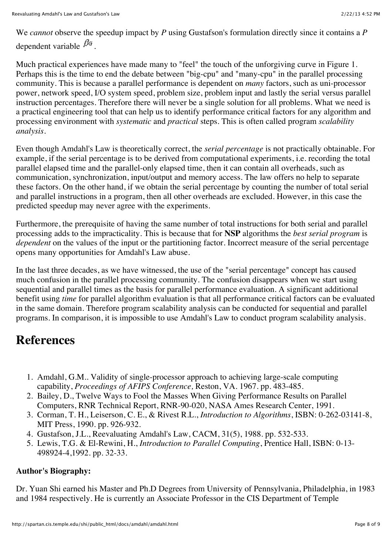We *cannot* observe the speedup impact by *P* using Gustafson's formulation directly since it contains a *P* dependent variable  $\beta^{\alpha}$ 

Much practical experiences have made many to "feel" the touch of the unforgiving curve in Figure 1. Perhaps this is the time to end the debate between "big-cpu" and "many-cpu" in the parallel processing community. This is because a parallel performance is dependent on *many* factors, such as uni-processor power, network speed, I/O system speed, problem size, problem input and lastly the serial versus parallel instruction percentages. Therefore there will never be a single solution for all problems. What we need is a practical engineering tool that can help us to identify performance critical factors for any algorithm and processing environment with *systematic* and *practical* steps. This is often called program *scalability analysis*.

Even though Amdahl's Law is theoretically correct, the *serial percentage* is not practically obtainable. For example, if the serial percentage is to be derived from computational experiments, i.e. recording the total parallel elapsed time and the parallel-only elapsed time, then it can contain all overheads, such as communication, synchronization, input/output and memory access. The law offers no help to separate these factors. On the other hand, if we obtain the serial percentage by counting the number of total serial and parallel instructions in a program, then all other overheads are excluded. However, in this case the predicted speedup may never agree with the experiments.

Furthermore, the prerequisite of having the same number of total instructions for both serial and parallel processing adds to the impracticality. This is because that for **NSP** algorithms the *best serial program* is *dependent* on the values of the input or the partitioning factor. Incorrect measure of the serial percentage opens many opportunities for Amdahl's Law abuse.

In the last three decades, as we have witnessed, the use of the "serial percentage" concept has caused much confusion in the parallel processing community. The confusion disappears when we start using sequential and parallel times as the basis for parallel performance evaluation. A significant additional benefit using *time* for parallel algorithm evaluation is that all performance critical factors can be evaluated in the same domain. Therefore program scalability analysis can be conducted for sequential and parallel programs. In comparison, it is impossible to use Amdahl's Law to conduct program scalability analysis.

# **References**

- 1. Amdahl, G.M.. Validity of single-processor approach to achieving large-scale computing capability, *Proceedings of AFIPS Conference,* Reston, VA. 1967. pp. 483-485.
- 2. Bailey, D., Twelve Ways to Fool the Masses When Giving Performance Results on Parallel Computers, RNR Technical Report, RNR-90-020, NASA Ames Research Center, 1991.
- 3. Corman, T. H., Leiserson, C. E., & Rivest R.L., *Introduction to Algorithms*, ISBN: 0-262-03141-8, MIT Press, 1990. pp. 926-932.
- 4. Gustafson, J.L., Reevaluating Amdahl's Law, CACM, 31(5), 1988. pp. 532-533.
- 5. Lewis, T.G. & El-Rewini, H., *Introduction to Parallel Computing*, Prentice Hall, ISBN: 0-13- 498924-4,1992. pp. 32-33.

# **Author's Biography:**

Dr. Yuan Shi earned his Master and Ph.D Degrees from University of Pennsylvania, Philadelphia, in 1983 and 1984 respectively. He is currently an Associate Professor in the CIS Department of Temple